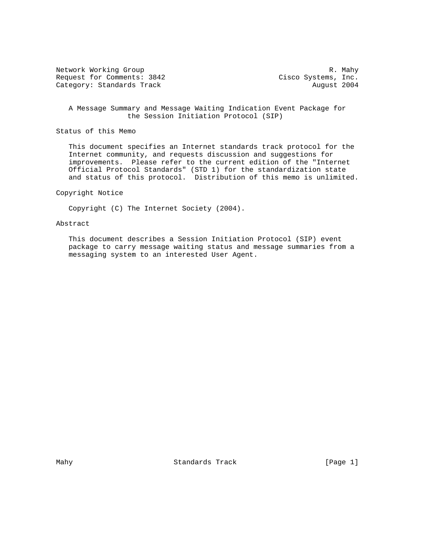Network Working Group and the set of the set of the set of the set of the set of the set of the set of the set of the set of the set of the set of the set of the set of the set of the set of the set of the set of the set o Request for Comments: 3842 Cisco Systems, Inc. Category: Standards Track August 2004

 A Message Summary and Message Waiting Indication Event Package for the Session Initiation Protocol (SIP)

Status of this Memo

 This document specifies an Internet standards track protocol for the Internet community, and requests discussion and suggestions for improvements. Please refer to the current edition of the "Internet Official Protocol Standards" (STD 1) for the standardization state and status of this protocol. Distribution of this memo is unlimited.

### Copyright Notice

Copyright (C) The Internet Society (2004).

# Abstract

 This document describes a Session Initiation Protocol (SIP) event package to carry message waiting status and message summaries from a messaging system to an interested User Agent.

Mahy Standards Track [Page 1]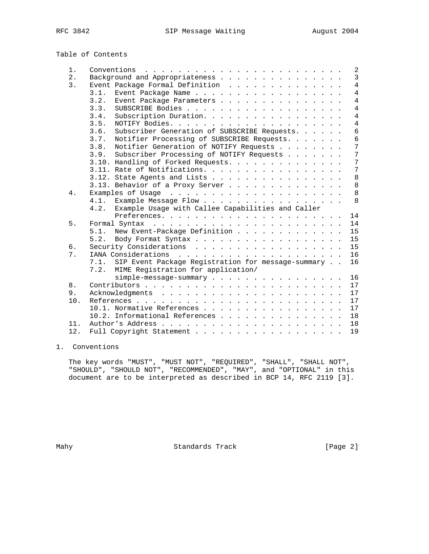| Table of Contents |  |
|-------------------|--|
|-------------------|--|

| 1.  |      |                                                         |  |  |  | 2              |
|-----|------|---------------------------------------------------------|--|--|--|----------------|
| 2.  |      | Background and Appropriateness                          |  |  |  | $\overline{3}$ |
| 3.  |      | Event Package Formal Definition                         |  |  |  | $\overline{4}$ |
|     | 3.1. | Event Package Name                                      |  |  |  | $\overline{4}$ |
|     | 3.2. | Event Package Parameters                                |  |  |  | $\overline{4}$ |
|     | 3.3. |                                                         |  |  |  | $\overline{4}$ |
|     | 3.4. | Subscription Duration.                                  |  |  |  | $\overline{4}$ |
|     | 3.5. |                                                         |  |  |  | $\overline{4}$ |
|     | 3.6. | Subscriber Generation of SUBSCRIBE Requests.            |  |  |  | 6              |
|     | 3.7. | Notifier Processing of SUBSCRIBE Requests.              |  |  |  | 6              |
|     | 3.8. | Notifier Generation of NOTIFY Requests                  |  |  |  | 7              |
|     | 3.9. | Subscriber Processing of NOTIFY Requests                |  |  |  | $\overline{7}$ |
|     |      | 3.10. Handling of Forked Requests.                      |  |  |  | 7              |
|     |      | 3.11. Rate of Notifications.                            |  |  |  | 7              |
|     |      | 3.12. State Agents and Lists                            |  |  |  | 8              |
|     |      | 3.13. Behavior of a Proxy Server                        |  |  |  | 8              |
| 4.  |      |                                                         |  |  |  | 8              |
|     | 4.1. | Example Message Flow                                    |  |  |  | 8              |
|     | 4.2. | Example Usage with Callee Capabilities and Caller       |  |  |  |                |
|     |      |                                                         |  |  |  | 14             |
| 5.  |      |                                                         |  |  |  | 14             |
|     |      | 5.1. New Event-Package Definition                       |  |  |  | 15             |
|     |      | 5.2. Body Format Syntax                                 |  |  |  | 15             |
| б.  |      |                                                         |  |  |  | 15             |
| 7.  |      |                                                         |  |  |  | 16             |
|     |      | 7.1. SIP Event Package Registration for message-summary |  |  |  | 16             |
|     | 7.2. | MIME Registration for application/                      |  |  |  |                |
|     |      | simple-message-summary                                  |  |  |  | 16             |
| 8.  |      |                                                         |  |  |  | 17             |
| 9.  |      |                                                         |  |  |  | 17             |
| 10. |      |                                                         |  |  |  | 17             |
|     |      | 10.1. Normative References                              |  |  |  | 17             |
|     |      | 10.2. Informational References                          |  |  |  | 18             |
| 11. |      |                                                         |  |  |  | 18             |
| 12. |      |                                                         |  |  |  | 19             |
|     |      |                                                         |  |  |  |                |

# 1. Conventions

 The key words "MUST", "MUST NOT", "REQUIRED", "SHALL", "SHALL NOT", "SHOULD", "SHOULD NOT", "RECOMMENDED", "MAY", and "OPTIONAL" in this document are to be interpreted as described in BCP 14, RFC 2119 [3].

Mahy Standards Track [Page 2]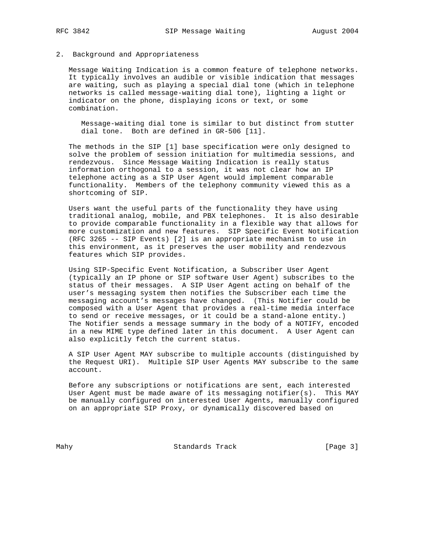## 2. Background and Appropriateness

 Message Waiting Indication is a common feature of telephone networks. It typically involves an audible or visible indication that messages are waiting, such as playing a special dial tone (which in telephone networks is called message-waiting dial tone), lighting a light or indicator on the phone, displaying icons or text, or some combination.

 Message-waiting dial tone is similar to but distinct from stutter dial tone. Both are defined in GR-506 [11].

 The methods in the SIP [1] base specification were only designed to solve the problem of session initiation for multimedia sessions, and rendezvous. Since Message Waiting Indication is really status information orthogonal to a session, it was not clear how an IP telephone acting as a SIP User Agent would implement comparable functionality. Members of the telephony community viewed this as a shortcoming of SIP.

 Users want the useful parts of the functionality they have using traditional analog, mobile, and PBX telephones. It is also desirable to provide comparable functionality in a flexible way that allows for more customization and new features. SIP Specific Event Notification (RFC 3265 -- SIP Events) [2] is an appropriate mechanism to use in this environment, as it preserves the user mobility and rendezvous features which SIP provides.

 Using SIP-Specific Event Notification, a Subscriber User Agent (typically an IP phone or SIP software User Agent) subscribes to the status of their messages. A SIP User Agent acting on behalf of the user's messaging system then notifies the Subscriber each time the messaging account's messages have changed. (This Notifier could be composed with a User Agent that provides a real-time media interface to send or receive messages, or it could be a stand-alone entity.) The Notifier sends a message summary in the body of a NOTIFY, encoded in a new MIME type defined later in this document. A User Agent can also explicitly fetch the current status.

 A SIP User Agent MAY subscribe to multiple accounts (distinguished by the Request URI). Multiple SIP User Agents MAY subscribe to the same account.

 Before any subscriptions or notifications are sent, each interested User Agent must be made aware of its messaging notifier(s). This MAY be manually configured on interested User Agents, manually configured on an appropriate SIP Proxy, or dynamically discovered based on

Mahy Standards Track [Page 3]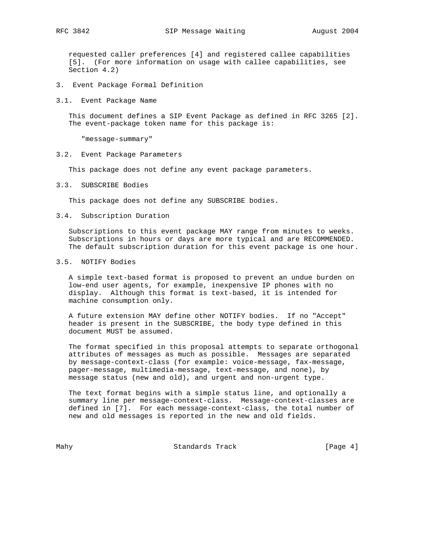requested caller preferences [4] and registered callee capabilities [5]. (For more information on usage with callee capabilities, see Section 4.2)

- 3. Event Package Formal Definition
- 3.1. Event Package Name

 This document defines a SIP Event Package as defined in RFC 3265 [2]. The event-package token name for this package is:

"message-summary"

3.2. Event Package Parameters

This package does not define any event package parameters.

3.3. SUBSCRIBE Bodies

This package does not define any SUBSCRIBE bodies.

3.4. Subscription Duration

 Subscriptions to this event package MAY range from minutes to weeks. Subscriptions in hours or days are more typical and are RECOMMENDED. The default subscription duration for this event package is one hour.

3.5. NOTIFY Bodies

 A simple text-based format is proposed to prevent an undue burden on low-end user agents, for example, inexpensive IP phones with no display. Although this format is text-based, it is intended for machine consumption only.

 A future extension MAY define other NOTIFY bodies. If no "Accept" header is present in the SUBSCRIBE, the body type defined in this document MUST be assumed.

 The format specified in this proposal attempts to separate orthogonal attributes of messages as much as possible. Messages are separated by message-context-class (for example: voice-message, fax-message, pager-message, multimedia-message, text-message, and none), by message status (new and old), and urgent and non-urgent type.

 The text format begins with a simple status line, and optionally a summary line per message-context-class. Message-context-classes are defined in [7]. For each message-context-class, the total number of new and old messages is reported in the new and old fields.

Mahy Standards Track [Page 4]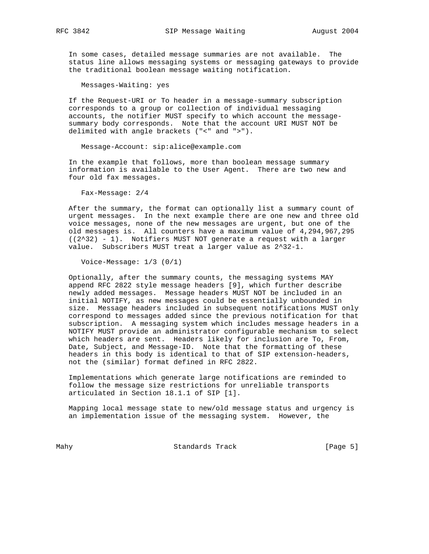In some cases, detailed message summaries are not available. The status line allows messaging systems or messaging gateways to provide the traditional boolean message waiting notification.

Messages-Waiting: yes

 If the Request-URI or To header in a message-summary subscription corresponds to a group or collection of individual messaging accounts, the notifier MUST specify to which account the message summary body corresponds. Note that the account URI MUST NOT be delimited with angle brackets ("<" and ">").

Message-Account: sip:alice@example.com

 In the example that follows, more than boolean message summary information is available to the User Agent. There are two new and four old fax messages.

Fax-Message: 2/4

 After the summary, the format can optionally list a summary count of urgent messages. In the next example there are one new and three old voice messages, none of the new messages are urgent, but one of the old messages is. All counters have a maximum value of 4,294,967,295 ((2^32) - 1). Notifiers MUST NOT generate a request with a larger value. Subscribers MUST treat a larger value as 2^32-1.

Voice-Message: 1/3 (0/1)

 Optionally, after the summary counts, the messaging systems MAY append RFC 2822 style message headers [9], which further describe newly added messages. Message headers MUST NOT be included in an initial NOTIFY, as new messages could be essentially unbounded in size. Message headers included in subsequent notifications MUST only correspond to messages added since the previous notification for that subscription. A messaging system which includes message headers in a NOTIFY MUST provide an administrator configurable mechanism to select which headers are sent. Headers likely for inclusion are To, From, Date, Subject, and Message-ID. Note that the formatting of these headers in this body is identical to that of SIP extension-headers, not the (similar) format defined in RFC 2822.

 Implementations which generate large notifications are reminded to follow the message size restrictions for unreliable transports articulated in Section 18.1.1 of SIP [1].

 Mapping local message state to new/old message status and urgency is an implementation issue of the messaging system. However, the

Mahy Standards Track [Page 5]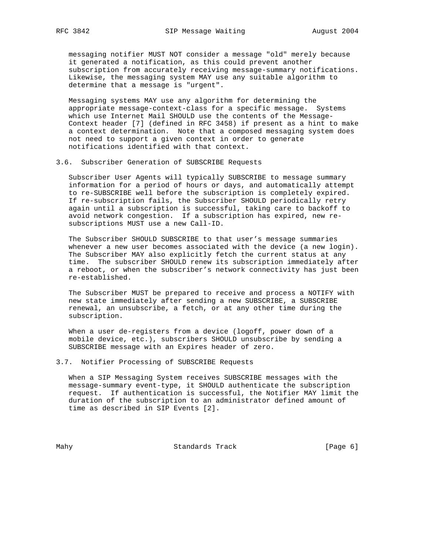messaging notifier MUST NOT consider a message "old" merely because it generated a notification, as this could prevent another subscription from accurately receiving message-summary notifications. Likewise, the messaging system MAY use any suitable algorithm to determine that a message is "urgent".

 Messaging systems MAY use any algorithm for determining the appropriate message-context-class for a specific message. Systems which use Internet Mail SHOULD use the contents of the Message- Context header [7] (defined in RFC 3458) if present as a hint to make a context determination. Note that a composed messaging system does not need to support a given context in order to generate notifications identified with that context.

### 3.6. Subscriber Generation of SUBSCRIBE Requests

 Subscriber User Agents will typically SUBSCRIBE to message summary information for a period of hours or days, and automatically attempt to re-SUBSCRIBE well before the subscription is completely expired. If re-subscription fails, the Subscriber SHOULD periodically retry again until a subscription is successful, taking care to backoff to avoid network congestion. If a subscription has expired, new re subscriptions MUST use a new Call-ID.

 The Subscriber SHOULD SUBSCRIBE to that user's message summaries whenever a new user becomes associated with the device (a new login). The Subscriber MAY also explicitly fetch the current status at any time. The subscriber SHOULD renew its subscription immediately after a reboot, or when the subscriber's network connectivity has just been re-established.

 The Subscriber MUST be prepared to receive and process a NOTIFY with new state immediately after sending a new SUBSCRIBE, a SUBSCRIBE renewal, an unsubscribe, a fetch, or at any other time during the subscription.

When a user de-registers from a device (logoff, power down of a mobile device, etc.), subscribers SHOULD unsubscribe by sending a SUBSCRIBE message with an Expires header of zero.

## 3.7. Notifier Processing of SUBSCRIBE Requests

 When a SIP Messaging System receives SUBSCRIBE messages with the message-summary event-type, it SHOULD authenticate the subscription request. If authentication is successful, the Notifier MAY limit the duration of the subscription to an administrator defined amount of time as described in SIP Events [2].

Mahy Standards Track [Page 6]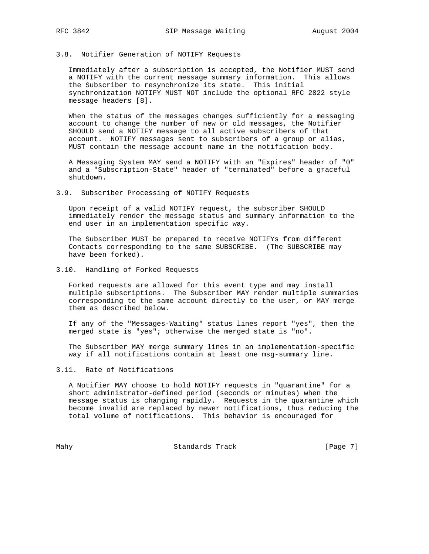### 3.8. Notifier Generation of NOTIFY Requests

 Immediately after a subscription is accepted, the Notifier MUST send a NOTIFY with the current message summary information. This allows the Subscriber to resynchronize its state. This initial synchronization NOTIFY MUST NOT include the optional RFC 2822 style message headers [8].

 When the status of the messages changes sufficiently for a messaging account to change the number of new or old messages, the Notifier SHOULD send a NOTIFY message to all active subscribers of that account. NOTIFY messages sent to subscribers of a group or alias, MUST contain the message account name in the notification body.

 A Messaging System MAY send a NOTIFY with an "Expires" header of "0" and a "Subscription-State" header of "terminated" before a graceful shutdown.

3.9. Subscriber Processing of NOTIFY Requests

 Upon receipt of a valid NOTIFY request, the subscriber SHOULD immediately render the message status and summary information to the end user in an implementation specific way.

 The Subscriber MUST be prepared to receive NOTIFYs from different Contacts corresponding to the same SUBSCRIBE. (The SUBSCRIBE may have been forked).

3.10. Handling of Forked Requests

 Forked requests are allowed for this event type and may install multiple subscriptions. The Subscriber MAY render multiple summaries corresponding to the same account directly to the user, or MAY merge them as described below.

 If any of the "Messages-Waiting" status lines report "yes", then the merged state is "yes"; otherwise the merged state is "no".

 The Subscriber MAY merge summary lines in an implementation-specific way if all notifications contain at least one msg-summary line.

3.11. Rate of Notifications

 A Notifier MAY choose to hold NOTIFY requests in "quarantine" for a short administrator-defined period (seconds or minutes) when the message status is changing rapidly. Requests in the quarantine which become invalid are replaced by newer notifications, thus reducing the total volume of notifications. This behavior is encouraged for

Mahy Standards Track [Page 7]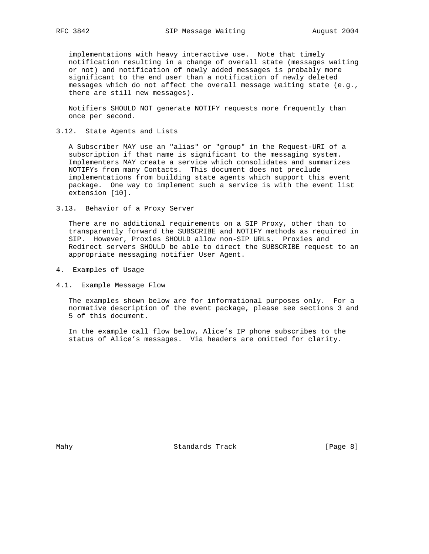implementations with heavy interactive use. Note that timely notification resulting in a change of overall state (messages waiting or not) and notification of newly added messages is probably more significant to the end user than a notification of newly deleted messages which do not affect the overall message waiting state (e.g., there are still new messages).

 Notifiers SHOULD NOT generate NOTIFY requests more frequently than once per second.

3.12. State Agents and Lists

 A Subscriber MAY use an "alias" or "group" in the Request-URI of a subscription if that name is significant to the messaging system. Implementers MAY create a service which consolidates and summarizes NOTIFYs from many Contacts. This document does not preclude implementations from building state agents which support this event package. One way to implement such a service is with the event list extension [10].

3.13. Behavior of a Proxy Server

 There are no additional requirements on a SIP Proxy, other than to transparently forward the SUBSCRIBE and NOTIFY methods as required in SIP. However, Proxies SHOULD allow non-SIP URLs. Proxies and Redirect servers SHOULD be able to direct the SUBSCRIBE request to an appropriate messaging notifier User Agent.

- 4. Examples of Usage
- 4.1. Example Message Flow

 The examples shown below are for informational purposes only. For a normative description of the event package, please see sections 3 and 5 of this document.

 In the example call flow below, Alice's IP phone subscribes to the status of Alice's messages. Via headers are omitted for clarity.

Mahy **Standards Track** [Page 8]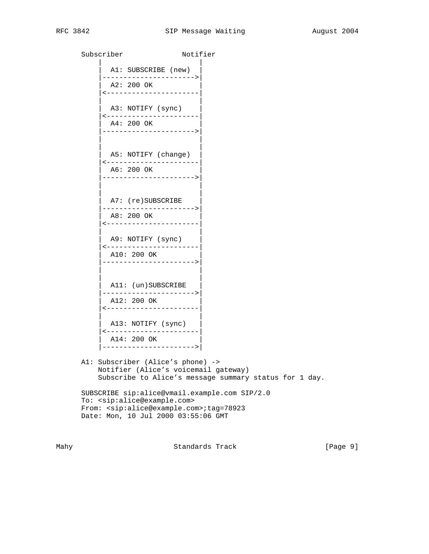Subscriber Notifier | | A1: SUBSCRIBE (new) |---------------------->| | A2: 200 OK | |<----------------------| | | A3: NOTIFY (sync) |<----------------------| | A4: 200 OK | |---------------------->| | | | | | A5: NOTIFY (change) | |<----------------------| | A6: 200 OK | |---------------------->| | | | | A7: (re)SUBSCRIBE |---------------------->| | A8: 200 OK | |<----------------------| | | | A9: NOTIFY (sync) | |<----------------------| | A10: 200 OK | |---------------------->| | | | | A11: (un)SUBSCRIBE |---------------------->| A12: 200 OK |<----------------------| | | A13: NOTIFY (sync) |<----------------------| | A14: 200 OK | |---------------------->| A1: Subscriber (Alice's phone) ->

 Notifier (Alice's voicemail gateway) Subscribe to Alice's message summary status for 1 day.

 SUBSCRIBE sip:alice@vmail.example.com SIP/2.0 To: <sip:alice@example.com> From: <sip:alice@example.com>;tag=78923 Date: Mon, 10 Jul 2000 03:55:06 GMT

Mahy **Standards Track** [Page 9]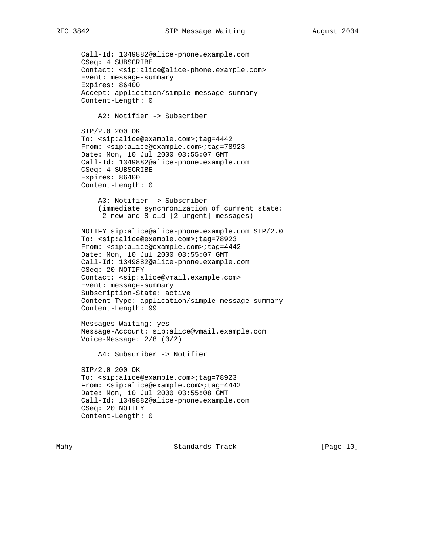```
 Call-Id: 1349882@alice-phone.example.com
 CSeq: 4 SUBSCRIBE
 Contact: <sip:alice@alice-phone.example.com>
 Event: message-summary
 Expires: 86400
 Accept: application/simple-message-summary
 Content-Length: 0
     A2: Notifier -> Subscriber
 SIP/2.0 200 OK
 To: <sip:alice@example.com>;tag=4442
 From: <sip:alice@example.com>;tag=78923
 Date: Mon, 10 Jul 2000 03:55:07 GMT
 Call-Id: 1349882@alice-phone.example.com
 CSeq: 4 SUBSCRIBE
 Expires: 86400
 Content-Length: 0
     A3: Notifier -> Subscriber
     (immediate synchronization of current state:
      2 new and 8 old [2 urgent] messages)
 NOTIFY sip:alice@alice-phone.example.com SIP/2.0
 To: <sip:alice@example.com>;tag=78923
 From: <sip:alice@example.com>;tag=4442
 Date: Mon, 10 Jul 2000 03:55:07 GMT
 Call-Id: 1349882@alice-phone.example.com
 CSeq: 20 NOTIFY
 Contact: <sip:alice@vmail.example.com>
 Event: message-summary
 Subscription-State: active
 Content-Type: application/simple-message-summary
 Content-Length: 99
 Messages-Waiting: yes
 Message-Account: sip:alice@vmail.example.com
 Voice-Message: 2/8 (0/2)
     A4: Subscriber -> Notifier
 SIP/2.0 200 OK
 To: <sip:alice@example.com>;tag=78923
 From: <sip:alice@example.com>;tag=4442
 Date: Mon, 10 Jul 2000 03:55:08 GMT
 Call-Id: 1349882@alice-phone.example.com
 CSeq: 20 NOTIFY
 Content-Length: 0
```
Mahy Standards Track [Page 10]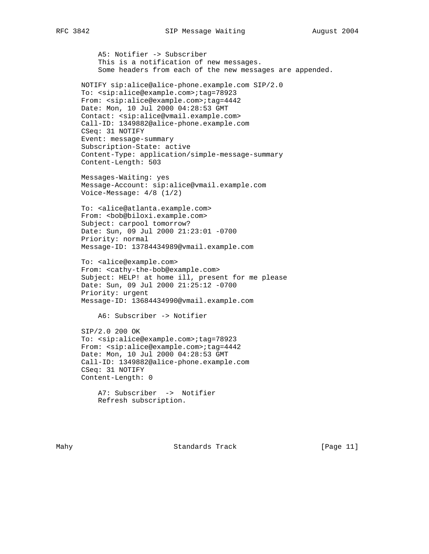A5: Notifier -> Subscriber This is a notification of new messages. Some headers from each of the new messages are appended.

 NOTIFY sip:alice@alice-phone.example.com SIP/2.0 To: <sip:alice@example.com>;tag=78923 From: <sip:alice@example.com>;tag=4442 Date: Mon, 10 Jul 2000 04:28:53 GMT Contact: <sip:alice@vmail.example.com> Call-ID: 1349882@alice-phone.example.com CSeq: 31 NOTIFY Event: message-summary Subscription-State: active Content-Type: application/simple-message-summary Content-Length: 503

 Messages-Waiting: yes Message-Account: sip:alice@vmail.example.com Voice-Message: 4/8 (1/2)

 To: <alice@atlanta.example.com> From: <bob@biloxi.example.com> Subject: carpool tomorrow? Date: Sun, 09 Jul 2000 21:23:01 -0700 Priority: normal Message-ID: 13784434989@vmail.example.com

 To: <alice@example.com> From: <cathy-the-bob@example.com> Subject: HELP! at home ill, present for me please Date: Sun, 09 Jul 2000 21:25:12 -0700 Priority: urgent Message-ID: 13684434990@vmail.example.com

A6: Subscriber -> Notifier

 SIP/2.0 200 OK To: <sip:alice@example.com>;tag=78923 From: <sip:alice@example.com>;tag=4442 Date: Mon, 10 Jul 2000 04:28:53 GMT Call-ID: 1349882@alice-phone.example.com CSeq: 31 NOTIFY Content-Length: 0

 A7: Subscriber -> Notifier Refresh subscription.

Mahy Standards Track [Page 11]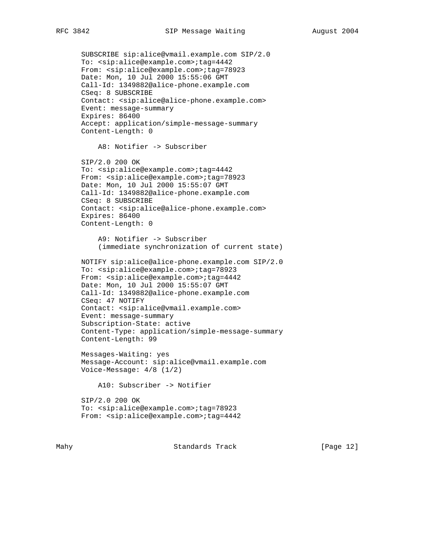```
 SUBSCRIBE sip:alice@vmail.example.com SIP/2.0
 To: <sip:alice@example.com>;tag=4442
From: <sip:alice@example.com>;tag=78923
 Date: Mon, 10 Jul 2000 15:55:06 GMT
 Call-Id: 1349882@alice-phone.example.com
 CSeq: 8 SUBSCRIBE
 Contact: <sip:alice@alice-phone.example.com>
 Event: message-summary
 Expires: 86400
 Accept: application/simple-message-summary
 Content-Length: 0
     A8: Notifier -> Subscriber
 SIP/2.0 200 OK
 To: <sip:alice@example.com>;tag=4442
From: <sip:alice@example.com>;tag=78923
 Date: Mon, 10 Jul 2000 15:55:07 GMT
 Call-Id: 1349882@alice-phone.example.com
 CSeq: 8 SUBSCRIBE
 Contact: <sip:alice@alice-phone.example.com>
 Expires: 86400
 Content-Length: 0
     A9: Notifier -> Subscriber
     (immediate synchronization of current state)
 NOTIFY sip:alice@alice-phone.example.com SIP/2.0
 To: <sip:alice@example.com>;tag=78923
From: <sip:alice@example.com>;tag=4442
 Date: Mon, 10 Jul 2000 15:55:07 GMT
 Call-Id: 1349882@alice-phone.example.com
 CSeq: 47 NOTIFY
 Contact: <sip:alice@vmail.example.com>
 Event: message-summary
 Subscription-State: active
 Content-Type: application/simple-message-summary
 Content-Length: 99
 Messages-Waiting: yes
 Message-Account: sip:alice@vmail.example.com
 Voice-Message: 4/8 (1/2)
     A10: Subscriber -> Notifier
 SIP/2.0 200 OK
 To: <sip:alice@example.com>;tag=78923
From: <sip:alice@example.com>;tag=4442
```
Mahy Standards Track [Page 12]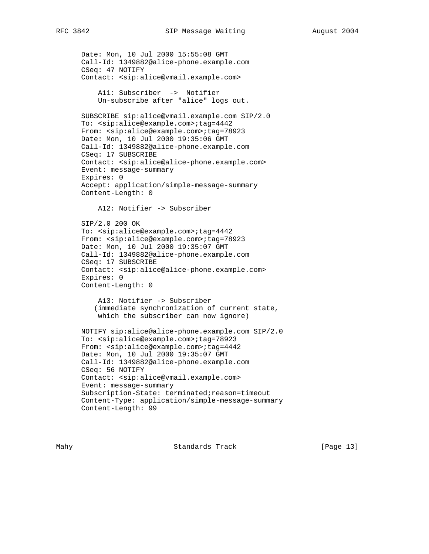```
 Date: Mon, 10 Jul 2000 15:55:08 GMT
 Call-Id: 1349882@alice-phone.example.com
 CSeq: 47 NOTIFY
 Contact: <sip:alice@vmail.example.com>
     A11: Subscriber -> Notifier
     Un-subscribe after "alice" logs out.
 SUBSCRIBE sip:alice@vmail.example.com SIP/2.0
 To: <sip:alice@example.com>;tag=4442
 From: <sip:alice@example.com>;tag=78923
 Date: Mon, 10 Jul 2000 19:35:06 GMT
 Call-Id: 1349882@alice-phone.example.com
 CSeq: 17 SUBSCRIBE
 Contact: <sip:alice@alice-phone.example.com>
 Event: message-summary
 Expires: 0
 Accept: application/simple-message-summary
 Content-Length: 0
     A12: Notifier -> Subscriber
 SIP/2.0 200 OK
 To: <sip:alice@example.com>;tag=4442
 From: <sip:alice@example.com>;tag=78923
 Date: Mon, 10 Jul 2000 19:35:07 GMT
 Call-Id: 1349882@alice-phone.example.com
 CSeq: 17 SUBSCRIBE
 Contact: <sip:alice@alice-phone.example.com>
 Expires: 0
 Content-Length: 0
     A13: Notifier -> Subscriber
    (immediate synchronization of current state,
     which the subscriber can now ignore)
 NOTIFY sip:alice@alice-phone.example.com SIP/2.0
 To: <sip:alice@example.com>;tag=78923
From: <sip:alice@example.com>;tag=4442
 Date: Mon, 10 Jul 2000 19:35:07 GMT
 Call-Id: 1349882@alice-phone.example.com
 CSeq: 56 NOTIFY
 Contact: <sip:alice@vmail.example.com>
 Event: message-summary
 Subscription-State: terminated;reason=timeout
 Content-Type: application/simple-message-summary
 Content-Length: 99
```
Mahy Standards Track [Page 13]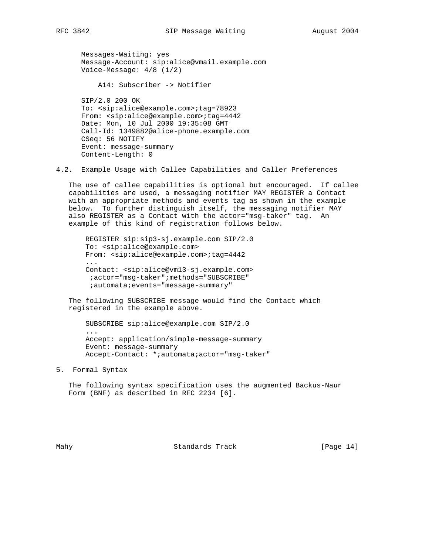Messages-Waiting: yes Message-Account: sip:alice@vmail.example.com Voice-Message: 4/8 (1/2)

A14: Subscriber -> Notifier

 SIP/2.0 200 OK To: <sip:alice@example.com>;tag=78923 From:  $<$ sip:alice@example.com>;tag=4442 Date: Mon, 10 Jul 2000 19:35:08 GMT Call-Id: 1349882@alice-phone.example.com CSeq: 56 NOTIFY Event: message-summary Content-Length: 0

4.2. Example Usage with Callee Capabilities and Caller Preferences

 The use of callee capabilities is optional but encouraged. If callee capabilities are used, a messaging notifier MAY REGISTER a Contact with an appropriate methods and events tag as shown in the example below. To further distinguish itself, the messaging notifier MAY also REGISTER as a Contact with the actor="msg-taker" tag. An example of this kind of registration follows below.

 REGISTER sip:sip3-sj.example.com SIP/2.0 To: <sip:alice@example.com> From: <sip:alice@example.com>;tag=4442 ... Contact: <sip:alice@vm13-sj.example.com> ;actor="msg-taker";methods="SUBSCRIBE" ;automata;events="message-summary"

 The following SUBSCRIBE message would find the Contact which registered in the example above.

```
 SUBSCRIBE sip:alice@example.com SIP/2.0
 ...
 Accept: application/simple-message-summary
 Event: message-summary
 Accept-Contact: *;automata;actor="msg-taker"
```
5. Formal Syntax

 The following syntax specification uses the augmented Backus-Naur Form (BNF) as described in RFC 2234 [6].

Mahy **Standards Track** [Page 14]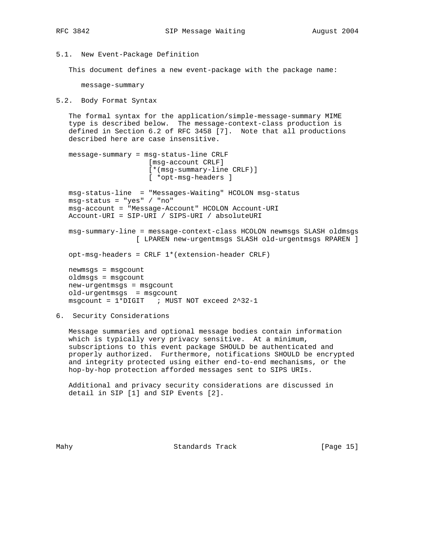5.1. New Event-Package Definition

This document defines a new event-package with the package name:

message-summary

5.2. Body Format Syntax

 The formal syntax for the application/simple-message-summary MIME type is described below. The message-context-class production is defined in Section 6.2 of RFC 3458 [7]. Note that all productions described here are case insensitive.

```
 message-summary = msg-status-line CRLF
                    [msg-account CRLF]
                     [*(msg-summary-line CRLF)]
                     [ *opt-msg-headers ]
 msg-status-line = "Messages-Waiting" HCOLON msg-status
 msg-status = "yes" / "no"
 msg-account = "Message-Account" HCOLON Account-URI
 Account-URI = SIP-URI / SIPS-URI / absoluteURI
```
 msg-summary-line = message-context-class HCOLON newmsgs SLASH oldmsgs [ LPAREN new-urgentmsgs SLASH old-urgentmsgs RPAREN ]

opt-msg-headers = CRLF 1\*(extension-header CRLF)

 newmsgs = msgcount oldmsgs = msgcount new-urgentmsgs = msgcount old-urgentmsgs = msgcount msgcount = 1\*DIGIT ; MUST NOT exceed 2^32-1

6. Security Considerations

 Message summaries and optional message bodies contain information which is typically very privacy sensitive. At a minimum, subscriptions to this event package SHOULD be authenticated and properly authorized. Furthermore, notifications SHOULD be encrypted and integrity protected using either end-to-end mechanisms, or the hop-by-hop protection afforded messages sent to SIPS URIs.

 Additional and privacy security considerations are discussed in detail in SIP [1] and SIP Events [2].

Mahy Standards Track [Page 15]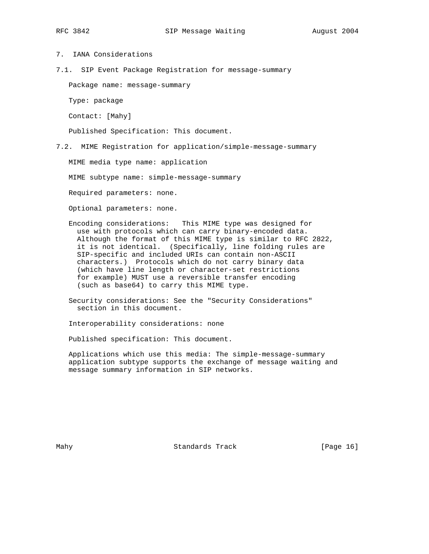# 7. IANA Considerations

7.1. SIP Event Package Registration for message-summary

Package name: message-summary

Type: package

Contact: [Mahy]

Published Specification: This document.

7.2. MIME Registration for application/simple-message-summary

MIME media type name: application

MIME subtype name: simple-message-summary

Required parameters: none.

Optional parameters: none.

 Encoding considerations: This MIME type was designed for use with protocols which can carry binary-encoded data. Although the format of this MIME type is similar to RFC 2822, it is not identical. (Specifically, line folding rules are SIP-specific and included URIs can contain non-ASCII characters.) Protocols which do not carry binary data (which have line length or character-set restrictions for example) MUST use a reversible transfer encoding (such as base64) to carry this MIME type.

 Security considerations: See the "Security Considerations" section in this document.

Interoperability considerations: none

Published specification: This document.

 Applications which use this media: The simple-message-summary application subtype supports the exchange of message waiting and message summary information in SIP networks.

Mahy Standards Track [Page 16] [Page 16]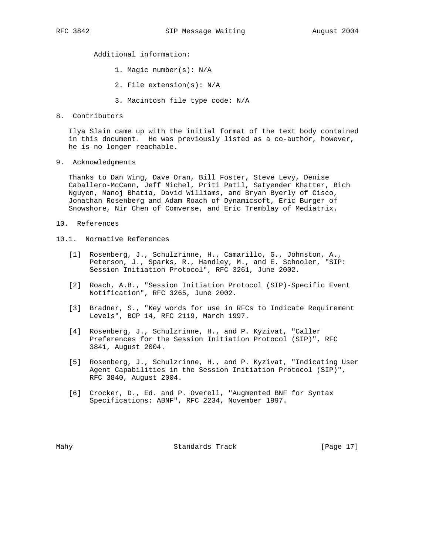Additional information:

- 1. Magic number(s): N/A
- 2. File extension(s): N/A
- 3. Macintosh file type code: N/A
- 8. Contributors

 Ilya Slain came up with the initial format of the text body contained in this document. He was previously listed as a co-author, however, he is no longer reachable.

9. Acknowledgments

 Thanks to Dan Wing, Dave Oran, Bill Foster, Steve Levy, Denise Caballero-McCann, Jeff Michel, Priti Patil, Satyender Khatter, Bich Nguyen, Manoj Bhatia, David Williams, and Bryan Byerly of Cisco, Jonathan Rosenberg and Adam Roach of Dynamicsoft, Eric Burger of Snowshore, Nir Chen of Comverse, and Eric Tremblay of Mediatrix.

- 10. References
- 10.1. Normative References
	- [1] Rosenberg, J., Schulzrinne, H., Camarillo, G., Johnston, A., Peterson, J., Sparks, R., Handley, M., and E. Schooler, "SIP: Session Initiation Protocol", RFC 3261, June 2002.
	- [2] Roach, A.B., "Session Initiation Protocol (SIP)-Specific Event Notification", RFC 3265, June 2002.
	- [3] Bradner, S., "Key words for use in RFCs to Indicate Requirement Levels", BCP 14, RFC 2119, March 1997.
	- [4] Rosenberg, J., Schulzrinne, H., and P. Kyzivat, "Caller Preferences for the Session Initiation Protocol (SIP)", RFC 3841, August 2004.
	- [5] Rosenberg, J., Schulzrinne, H., and P. Kyzivat, "Indicating User Agent Capabilities in the Session Initiation Protocol (SIP)", RFC 3840, August 2004.
	- [6] Crocker, D., Ed. and P. Overell, "Augmented BNF for Syntax Specifications: ABNF", RFC 2234, November 1997.

Mahy Standards Track [Page 17]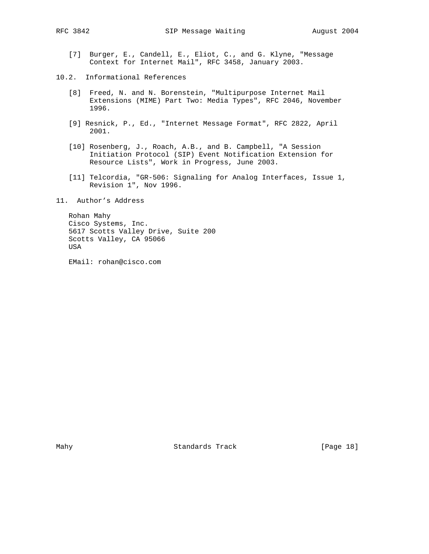- [7] Burger, E., Candell, E., Eliot, C., and G. Klyne, "Message Context for Internet Mail", RFC 3458, January 2003.
- 10.2. Informational References
	- [8] Freed, N. and N. Borenstein, "Multipurpose Internet Mail Extensions (MIME) Part Two: Media Types", RFC 2046, November 1996.
	- [9] Resnick, P., Ed., "Internet Message Format", RFC 2822, April 2001.
	- [10] Rosenberg, J., Roach, A.B., and B. Campbell, "A Session Initiation Protocol (SIP) Event Notification Extension for Resource Lists", Work in Progress, June 2003.
	- [11] Telcordia, "GR-506: Signaling for Analog Interfaces, Issue 1, Revision 1", Nov 1996.
- 11. Author's Address

 Rohan Mahy Cisco Systems, Inc. 5617 Scotts Valley Drive, Suite 200 Scotts Valley, CA 95066 USA

EMail: rohan@cisco.com

Mahy Standards Track [Page 18]